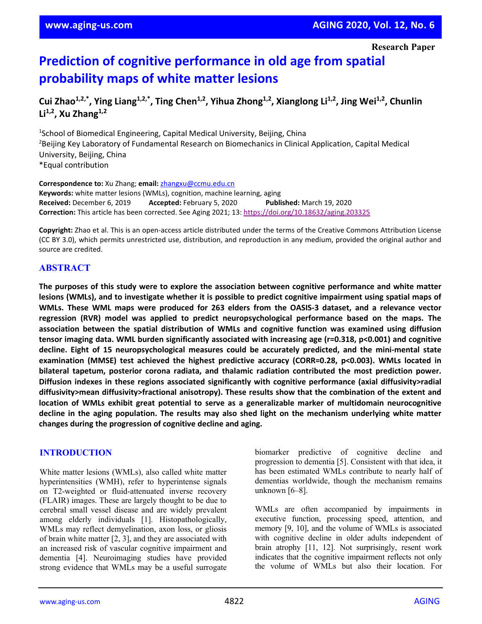# **Prediction of cognitive performance in old age from spatial probability maps of white matter lesions**

Cui Zhao<sup>1,2,\*</sup>, Ying Liang<sup>1,2,\*</sup>, Ting Chen<sup>1,2</sup>, Yihua Zhong<sup>1,2</sup>, Xianglong Li<sup>1,2</sup>, Jing Wei<sup>1,2</sup>, Chunlin **Li1,2, Xu Zhang1,2**

<sup>1</sup>School of Biomedical Engineering, Capital Medical University, Beijing, China <sup>2</sup>Beijing Key Laboratory of Fundamental Research on Biomechanics in Clinical Application, Capital Medical University, Beijing, China \*Equal contribution

**Correspondence to:** Xu Zhang; **email:** [zhangxu@ccmu.edu.cn](mailto:zhangxu@ccmu.edu.cn) **Keywords:** white matter lesions (WMLs), cognition, machine learning, aging **Received:** December 6, 2019 **Accepted:** February 5, 2020 **Published:** March 19, 2020 **Correction:** This article has been corrected. See Aging 2021; 13[: https://doi.org/10.18632/aging.203325](https://doi.org/10.18632/aging.203325)

**Copyright:** Zhao et al. This is an open-access article distributed under the terms of the Creative Commons Attribution License (CC BY 3.0), which permits unrestricted use, distribution, and reproduction in any medium, provided the original author and source are credited.

# **ABSTRACT**

**The purposes of this study were to explore the association between cognitive performance and white matter** lesions (WMLs), and to investigate whether it is possible to predict cognitive impairment using spatial maps of **WMLs. These WML maps were produced for 263 elders from the OASIS-3 dataset, and a relevance vector regression (RVR) model was applied to predict neuropsychological performance based on the maps. The association between the spatial distribution of WMLs and cognitive function was examined using diffusion tensor imaging data. WML burden significantly associated with increasing age (r=0.318, p<0.001) and cognitive decline. Eight of 15 neuropsychological measures could be accurately predicted, and the mini-mental state examination (MMSE) test achieved the highest predictive accuracy (CORR=0.28, p<0.003). WMLs located in bilateral tapetum, posterior corona radiata, and thalamic radiation contributed the most prediction power. Diffusion indexes in these regions associated significantly with cognitive performance (axial diffusivity>radial diffusivity>mean diffusivity>fractional anisotropy). These results show that the combination of the extent and location of WMLs exhibit great potential to serve as a generalizable marker of multidomain neurocognitive decline in the aging population. The results may also shed light on the mechanism underlying white matter changes during the progression of cognitive decline and aging.**

## **INTRODUCTION**

White matter lesions (WMLs), also called white matter hyperintensities (WMH), refer to hyperintense signals on T2-weighted or fluid-attenuated inverse recovery (FLAIR) images. These are largely thought to be due to cerebral small vessel disease and are widely prevalent among elderly individuals [1]. Histopathologically, WMLs may reflect demyelination, axon loss, or gliosis of brain white matter [2, 3], and they are associated with an increased risk of vascular cognitive impairment and dementia [4]. Neuroimaging studies have provided strong evidence that WMLs may be a useful surrogate biomarker predictive of cognitive decline and progression to dementia [5]. Consistent with that idea, it has been estimated WMLs contribute to nearly half of dementias worldwide, though the mechanism remains unknown [6–8].

WMLs are often accompanied by impairments in executive function, processing speed, attention, and memory [9, 10], and the volume of WMLs is associated with cognitive decline in older adults independent of brain atrophy [11, 12]. Not surprisingly, resent work indicates that the cognitive impairment reflects not only the volume of WMLs but also their location. For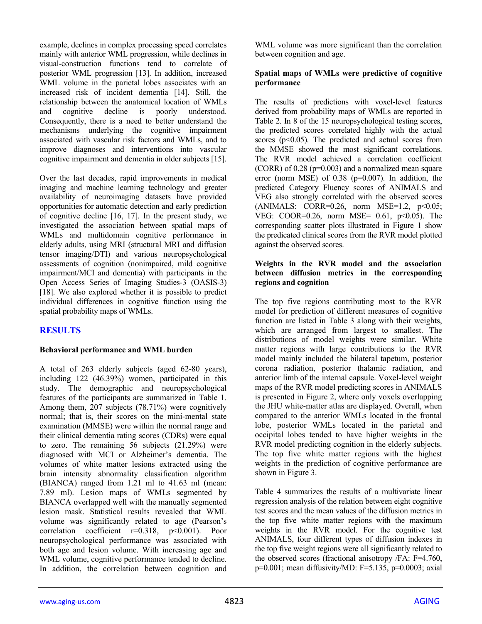example, declines in complex processing speed correlates mainly with anterior WML progression, while declines in visual-construction functions tend to correlate of posterior WML progression [13]. In addition, increased WML volume in the parietal lobes associates with an increased risk of incident dementia [14]. Still, the relationship between the anatomical location of WMLs and cognitive decline is poorly understood. Consequently, there is a need to better understand the mechanisms underlying the cognitive impairment associated with vascular risk factors and WMLs, and to improve diagnoses and interventions into vascular cognitive impairment and dementia in older subjects [15].

Over the last decades, rapid improvements in medical imaging and machine learning technology and greater availability of neuroimaging datasets have provided opportunities for automatic detection and early prediction of cognitive decline [16, 17]. In the present study, we investigated the association between spatial maps of WMLs and multidomain cognitive performance in elderly adults, using MRI (structural MRI and diffusion tensor imaging/DTI) and various neuropsychological assessments of cognition (nonimpaired, mild cognitive impairment/MCI and dementia) with participants in the Open Access Series of Imaging Studies-3 (OASIS-3) [18]. We also explored whether it is possible to predict individual differences in cognitive function using the spatial probability maps of WMLs.

# **RESULTS**

## **Behavioral performance and WML burden**

A total of 263 elderly subjects (aged 62-80 years), including 122 (46.39%) women, participated in this study. The demographic and neuropsychological features of the participants are summarized in Table 1. Among them, 207 subjects (78.71%) were cognitively normal; that is, their scores on the mini-mental state examination (MMSE) were within the normal range and their clinical dementia rating scores (CDRs) were equal to zero. The remaining 56 subjects (21.29%) were diagnosed with MCI or Alzheimer's dementia. The volumes of white matter lesions extracted using the brain intensity abnormality classification algorithm (BIANCA) ranged from 1.21 ml to 41.63 ml (mean: 7.89 ml). Lesion maps of WMLs segmented by BIANCA overlapped well with the manually segmented lesion mask. Statistical results revealed that WML volume was significantly related to age (Pearson's correlation coefficient  $r=0.318$ ,  $p<0.001$ ). Poor neuropsychological performance was associated with both age and lesion volume. With increasing age and WML volume, cognitive performance tended to decline. In addition, the correlation between cognition and

WML volume was more significant than the correlation between cognition and age.

## **Spatial maps of WMLs were predictive of cognitive performance**

The results of predictions with voxel-level features derived from probability maps of WMLs are reported in Table 2. In 8 of the 15 neuropsychological testing scores, the predicted scores correlated highly with the actual scores  $(p<0.05)$ . The predicted and actual scores from the MMSE showed the most significant correlations. The RVR model achieved a correlation coefficient (CORR) of  $0.28$  ( $p=0.003$ ) and a normalized mean square error (norm MSE) of 0.38 (p=0.007). In addition, the predicted Category Fluency scores of ANIMALS and VEG also strongly correlated with the observed scores  $(ANIMALS: CORR=0.26, norm MSE=1.2, p<0.05;$ VEG: COOR=0.26, norm MSE=  $0.61$ ,  $p<0.05$ ). The corresponding scatter plots illustrated in Figure 1 show the predicated clinical scores from the RVR model plotted against the observed scores.

## **Weights in the RVR model and the association between diffusion metrics in the corresponding regions and cognition**

The top five regions contributing most to the RVR model for prediction of different measures of cognitive function are listed in Table 3 along with their weights, which are arranged from largest to smallest. The distributions of model weights were similar. White matter regions with large contributions to the RVR model mainly included the bilateral tapetum, posterior corona radiation, posterior thalamic radiation, and anterior limb of the internal capsule. Voxel-level weight maps of the RVR model predicting scores in ANIMALS is presented in Figure 2, where only voxels overlapping the JHU white-matter atlas are displayed. Overall, when compared to the anterior WMLs located in the frontal lobe, posterior WMLs located in the parietal and occipital lobes tended to have higher weights in the RVR model predicting cognition in the elderly subjects. The top five white matter regions with the highest weights in the prediction of cognitive performance are shown in Figure 3.

Table 4 summarizes the results of a multivariate linear regression analysis of the relation between eight cognitive test scores and the mean values of the diffusion metrics in the top five white matter regions with the maximum weights in the RVR model. For the cognitive test ANIMALS, four different types of diffusion indexes in the top five weight regions were all significantly related to the observed scores (fractional anisotropy /FA: F=4.760, p=0.001; mean diffusivity/MD: F=5.135, p=0.0003; axial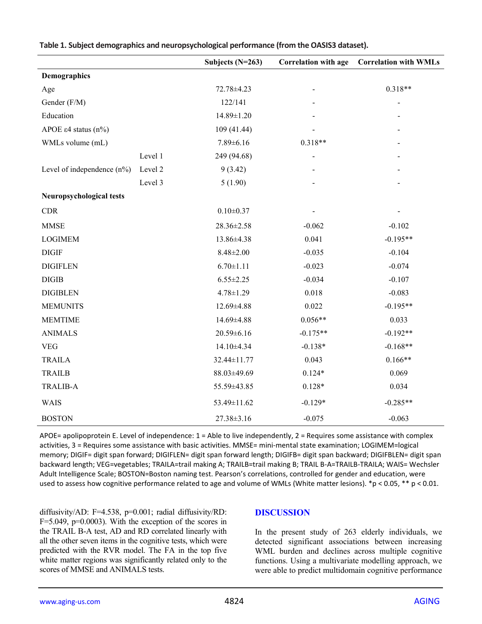|                                  |         | Subjects $(N=263)$ | <b>Correlation with age</b> | <b>Correlation with WMLs</b> |
|----------------------------------|---------|--------------------|-----------------------------|------------------------------|
| Demographics                     |         |                    |                             |                              |
| Age                              |         | 72.78±4.23         |                             | $0.318**$                    |
| Gender (F/M)                     |         | 122/141            |                             |                              |
| Education                        |         | 14.89±1.20         |                             |                              |
| APOE $\varepsilon$ 4 status (n%) |         | 109 (41.44)        |                             |                              |
| WMLs volume (mL)                 |         | $7.89 \pm 6.16$    | $0.318**$                   |                              |
|                                  | Level 1 | 249 (94.68)        |                             |                              |
| Level of independence $(n\%)$    | Level 2 | 9(3.42)            |                             |                              |
|                                  | Level 3 | 5(1.90)            |                             |                              |
| Neuropsychological tests         |         |                    |                             |                              |
| CDR                              |         | $0.10 \pm 0.37$    |                             |                              |
| <b>MMSE</b>                      |         | 28.36±2.58         | $-0.062$                    | $-0.102$                     |
| <b>LOGIMEM</b>                   |         | 13.86±4.38         | 0.041                       | $-0.195**$                   |
| <b>DIGIF</b>                     |         | $8.48 \pm 2.00$    | $-0.035$                    | $-0.104$                     |
| <b>DIGIFLEN</b>                  |         | $6.70 \pm 1.11$    | $-0.023$                    | $-0.074$                     |
| <b>DIGIB</b>                     |         | $6.55 \pm 2.25$    | $-0.034$                    | $-0.107$                     |
| <b>DIGIBLEN</b>                  |         | $4.78 \pm 1.29$    | 0.018                       | $-0.083$                     |
| <b>MEMUNITS</b>                  |         | 12.69±4.88         | 0.022                       | $-0.195**$                   |
| <b>MEMTIME</b>                   |         | 14.69±4.88         | $0.056**$                   | 0.033                        |
| <b>ANIMALS</b>                   |         | $20.59 \pm 6.16$   | $-0.175**$                  | $-0.192**$                   |
| <b>VEG</b>                       |         | 14.10±4.34         | $-0.138*$                   | $-0.168**$                   |
| <b>TRAILA</b>                    |         | 32.44±11.77        | 0.043                       | $0.166**$                    |
| <b>TRAILB</b>                    |         | 88.03±49.69        | $0.124*$                    | 0.069                        |
| <b>TRALIB-A</b>                  |         | 55.59±43.85        | $0.128*$                    | 0.034                        |
| WAIS                             |         | 53.49±11.62        | $-0.129*$                   | $-0.285**$                   |
| <b>BOSTON</b>                    |         | 27.38±3.16         | $-0.075$                    | $-0.063$                     |

**Table 1. Subject demographics and neuropsychological performance (from the OASIS3 dataset).**

APOE= apolipoprotein E. Level of independence:  $1 =$  Able to live independently,  $2 =$  Requires some assistance with complex activities, 3 = Requires some assistance with basic activities. MMSE= mini-mental state examination; LOGIMEM=logical memory; DIGIF= digit span forward; DIGIFLEN= digit span forward length; DIGIFB= digit span backward; DIGIFBLEN= digit span backward length; VEG=vegetables; TRAILA=trail making A; TRAILB=trail making B; TRAIL B-A=TRAILB-TRAILA; WAIS= Wechsler Adult Intelligence Scale; BOSTON=Boston naming test. Pearson's correlations, controlled for gender and education, were used to assess how cognitive performance related to age and volume of WMLs (White matter lesions). \*p < 0.05, \*\* p < 0.01.

diffusivity/AD: F=4.538, p=0.001; radial diffusivity/RD:  $F=5.049$ ,  $p=0.0003$ ). With the exception of the scores in the TRAIL B-A test, AD and RD correlated linearly with all the other seven items in the cognitive tests, which were predicted with the RVR model. The FA in the top five white matter regions was significantly related only to the scores of MMSE and ANIMALS tests.

## **DISCUSSION**

In the present study of 263 elderly individuals, we detected significant associations between increasing WML burden and declines across multiple cognitive functions. Using a multivariate modelling approach, we were able to predict multidomain cognitive performance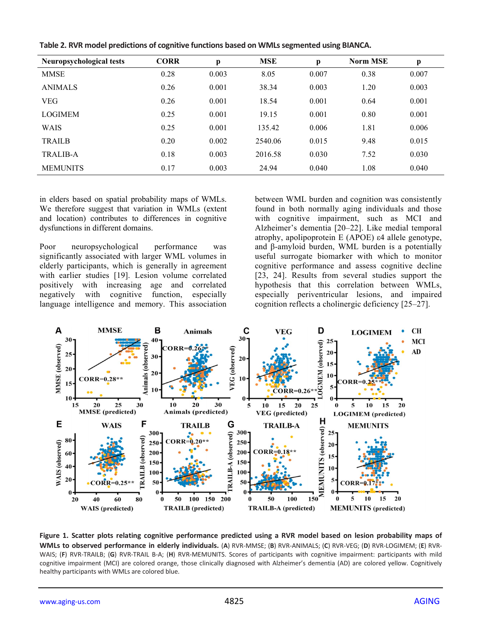|  |  |  |  | Table 2. RVR model predictions of cognitive functions based on WMLs segmented using BIANCA. |
|--|--|--|--|---------------------------------------------------------------------------------------------|
|--|--|--|--|---------------------------------------------------------------------------------------------|

| <b>Neuropsychological tests</b> | <b>CORR</b> | p     | <b>MSE</b> | p     | <b>Norm MSE</b> | p     |
|---------------------------------|-------------|-------|------------|-------|-----------------|-------|
| MMSE                            | 0.28        | 0.003 | 8.05       | 0.007 | 0.38            | 0.007 |
| <b>ANIMALS</b>                  | 0.26        | 0.001 | 38.34      | 0.003 | 1.20            | 0.003 |
| <b>VEG</b>                      | 0.26        | 0.001 | 18.54      | 0.001 | 0.64            | 0.001 |
| <b>LOGIMEM</b>                  | 0.25        | 0.001 | 19.15      | 0.001 | 0.80            | 0.001 |
| WAIS                            | 0.25        | 0.001 | 135.42     | 0.006 | 1.81            | 0.006 |
| <b>TRAILB</b>                   | 0.20        | 0.002 | 2540.06    | 0.015 | 9.48            | 0.015 |
| <b>TRALIB-A</b>                 | 0.18        | 0.003 | 2016.58    | 0.030 | 7.52            | 0.030 |
| <b>MEMUNITS</b>                 | 0.17        | 0.003 | 24.94      | 0.040 | 1.08            | 0.040 |

in elders based on spatial probability maps of WMLs. We therefore suggest that variation in WMLs (extent and location) contributes to differences in cognitive dysfunctions in different domains.

Poor neuropsychological performance was significantly associated with larger WML volumes in elderly participants, which is generally in agreement with earlier studies [19]. Lesion volume correlated positively with increasing age and correlated negatively with cognitive function, especially language intelligence and memory. This association between WML burden and cognition was consistently found in both normally aging individuals and those with cognitive impairment, such as MCI and Alzheimer's dementia [20–22]. Like medial temporal atrophy, apolipoprotein E (APOE) ε4 allele genotype, and β-amyloid burden, WML burden is a potentially useful surrogate biomarker with which to monitor cognitive performance and assess cognitive decline [23, 24]. Results from several studies support the hypothesis that this correlation between WMLs, especially periventricular lesions, and impaired cognition reflects a cholinergic deficiency [25–27].



**Figure 1. Scatter plots relating cognitive performance predicted using a RVR model based on lesion probability maps of WMLs to observed performance in elderly individuals.** (**A**) RVR-MMSE; (**B**) RVR-ANIMALS; (**C**) RVR-VEG; (**D**) RVR-LOGIMEM; (**E**) RVR-WAIS; (**F**) RVR-TRAILB; (**G**) RVR-TRAIL B-A; (**H**) RVR-MEMUNITS. Scores of participants with cognitive impairment: participants with mild cognitive impairment (MCI) are colored orange, those clinically diagnosed with Alzheimer's dementia (AD) are colored yellow. Cognitively healthy participants with WMLs are colored blue.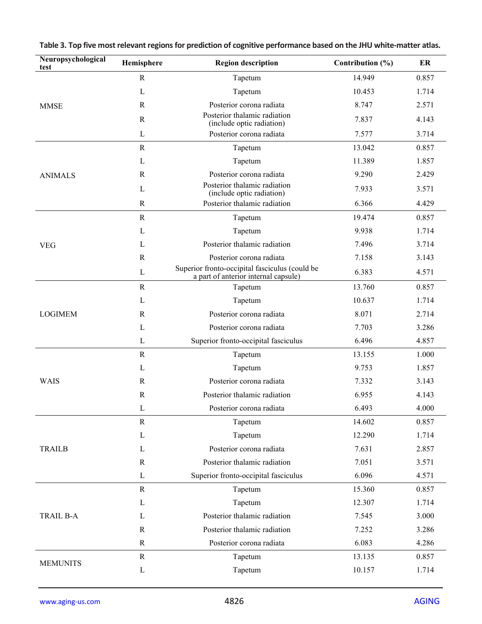| Neuropsychological<br>test | Hemisphere   | <b>Region description</b>                                                              | Contribution $(\% )$ | ER    |
|----------------------------|--------------|----------------------------------------------------------------------------------------|----------------------|-------|
|                            | $\mathbf R$  | Tapetum                                                                                | 14.949               | 0.857 |
|                            | $\mathbf L$  | Tapetum                                                                                | 10.453               | 1.714 |
| <b>MMSE</b>                | $\mathbb{R}$ | Posterior corona radiata                                                               | 8.747                | 2.571 |
|                            | $\mathbb{R}$ | Posterior thalamic radiation<br>(include optic radiation)                              | 7.837                | 4.143 |
|                            | L            | Posterior corona radiata                                                               | 7.577                | 3.714 |
|                            | $\mathbf R$  | Tapetum                                                                                | 13.042               | 0.857 |
|                            | L            | Tapetum                                                                                | 11.389               | 1.857 |
| <b>ANIMALS</b>             | R            | Posterior corona radiata                                                               | 9.290                | 2.429 |
|                            | L            | Posterior thalamic radiation<br>(include optic radiation)                              | 7.933                | 3.571 |
|                            | $\mathbb{R}$ | Posterior thalamic radiation                                                           | 6.366                | 4.429 |
|                            | ${\bf R}$    | Tapetum                                                                                | 19.474               | 0.857 |
|                            | L            | Tapetum                                                                                | 9.938                | 1.714 |
| <b>VEG</b>                 | L            | Posterior thalamic radiation                                                           | 7.496                | 3.714 |
|                            | $\mathbb{R}$ | Posterior corona radiata                                                               | 7.158                | 3.143 |
|                            | L            | Superior fronto-occipital fasciculus (could be<br>a part of anterior internal capsule) | 6.383                | 4.571 |
|                            | ${\bf R}$    | Tapetum                                                                                | 13.760               | 0.857 |
|                            | L            | Tapetum                                                                                | 10.637               | 1.714 |
| <b>LOGIMEM</b>             | $\mathbb{R}$ | Posterior corona radiata                                                               | 8.071                | 2.714 |
|                            | L            | Posterior corona radiata                                                               | 7.703                | 3.286 |
|                            | L            | Superior fronto-occipital fasciculus                                                   | 6.496                | 4.857 |
|                            | $\mathbb{R}$ | Tapetum                                                                                | 13.155               | 1.000 |
|                            | L            | Tapetum                                                                                | 9.753                | 1.857 |
| WAIS                       | $\mathbb{R}$ | Posterior corona radiata                                                               | 7.332                | 3.143 |
|                            | $\mathbf R$  | Posterior thalamic radiation                                                           | 6.955                | 4.143 |
|                            | $\mathbf L$  | Posterior corona radiata                                                               | 6.493                | 4.000 |
|                            | $\mathbf R$  | Tapetum                                                                                | 14.602               | 0.857 |
|                            | $\mathbf{L}$ | Tapetum                                                                                | 12.290               | 1.714 |
| <b>TRAILB</b>              | L            | Posterior corona radiata                                                               | 7.631                | 2.857 |
|                            | R            | Posterior thalamic radiation                                                           | 7.051                | 3.571 |
|                            | $\mathbf L$  | Superior fronto-occipital fasciculus                                                   | 6.096                | 4.571 |
| TRAIL B-A                  | $\mathbf R$  | Tapetum                                                                                | 15.360               | 0.857 |
|                            | $\mathbf L$  | Tapetum                                                                                | 12.307               | 1.714 |
|                            | L            | Posterior thalamic radiation                                                           | 7.545                | 3.000 |
|                            | $\mathbf R$  | Posterior thalamic radiation                                                           | 7.252                | 3.286 |
|                            | $\mathbf R$  | Posterior corona radiata                                                               | 6.083                | 4.286 |
|                            | $\mathbf R$  | Tapetum                                                                                | 13.135               | 0.857 |
| <b>MEMUNITS</b>            | $\mathbf L$  | Tapetum                                                                                | 10.157               | 1.714 |

**Table 3. Top five most relevant regions for prediction of cognitive performance based on the JHU white-matter atlas.**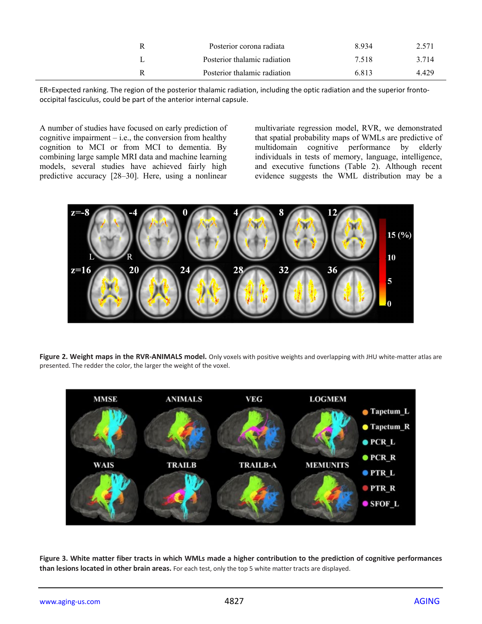| Posterior corona radiata     | 8934  | 2.571 |
|------------------------------|-------|-------|
| Posterior thalamic radiation | 7.518 | 3.714 |
| Posterior thalamic radiation | 6.813 | 4429  |

ER=Expected ranking. The region of the posterior thalamic radiation, including the optic radiation and the superior frontooccipital fasciculus, could be part of the anterior internal capsule.

A number of studies have focused on early prediction of cognitive impairment  $-$  i.e., the conversion from healthy cognition to MCI or from MCI to dementia. By combining large sample MRI data and machine learning models, several studies have achieved fairly high predictive accuracy [28–30]. Here, using a nonlinear

multivariate regression model, RVR, we demonstrated that spatial probability maps of WMLs are predictive of multidomain cognitive performance by elderly individuals in tests of memory, language, intelligence, and executive functions (Table 2). Although recent evidence suggests the WML distribution may be a



**Figure 2. Weight maps in the RVR-ANIMALS model.** Only voxels with positive weights and overlapping with JHU white-matter atlas are presented. The redder the color, the larger the weight of the voxel.



**Figure 3. White matter fiber tracts in which WMLs made a higher contribution to the prediction of cognitive performances than lesions located in other brain areas.** For each test, only the top 5 white matter tracts are displayed.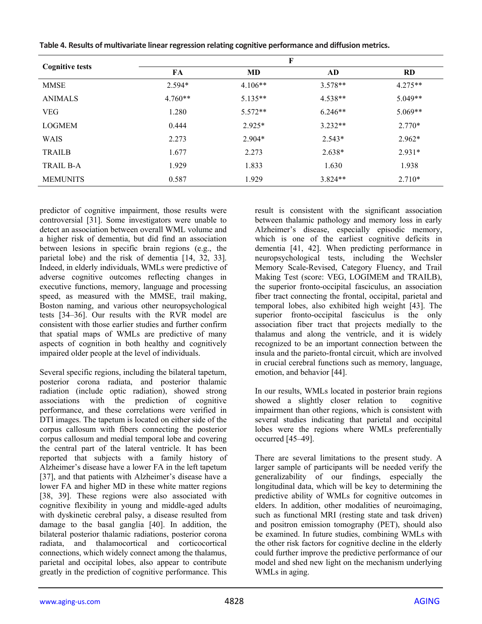|                        |           | F         |           |           |
|------------------------|-----------|-----------|-----------|-----------|
| <b>Cognitive tests</b> | FA        | MD        | AD        | <b>RD</b> |
| <b>MMSE</b>            | $2.594*$  | $4.106**$ | $3.578**$ | $4.275**$ |
| <b>ANIMALS</b>         | $4.760**$ | $5.135**$ | $4.538**$ | $5.049**$ |
| <b>VEG</b>             | 1.280     | $5.572**$ | $6.246**$ | $5.069**$ |
| <b>LOGMEM</b>          | 0.444     | $2.925*$  | $3.232**$ | $2.770*$  |
| <b>WAIS</b>            | 2.273     | $2.904*$  | $2.543*$  | $2.962*$  |
| <b>TRAILB</b>          | 1.677     | 2.273     | $2.638*$  | $2.931*$  |
| TRAIL B-A              | 1.929     | 1.833     | 1.630     | 1.938     |
| <b>MEMUNITS</b>        | 0.587     | 1.929     | $3.824**$ | $2.710*$  |

**Table 4. Results of multivariate linear regression relating cognitive performance and diffusion metrics.**

predictor of cognitive impairment, those results were controversial [31]. Some investigators were unable to detect an association between overall WML volume and a higher risk of dementia, but did find an association between lesions in specific brain regions (e.g., the parietal lobe) and the risk of dementia [14, 32, 33]. Indeed, in elderly individuals, WMLs were predictive of adverse cognitive outcomes reflecting changes in executive functions, memory, language and processing speed, as measured with the MMSE, trail making, Boston naming, and various other neuropsychological tests [34–36]. Our results with the RVR model are consistent with those earlier studies and further confirm that spatial maps of WMLs are predictive of many aspects of cognition in both healthy and cognitively impaired older people at the level of individuals.

Several specific regions, including the bilateral tapetum, posterior corona radiata, and posterior thalamic radiation (include optic radiation), showed strong associations with the prediction of cognitive performance, and these correlations were verified in DTI images. The tapetum is located on either side of the corpus callosum with fibers connecting the posterior corpus callosum and medial temporal lobe and covering the central part of the lateral ventricle. It has been reported that subjects with a family history of Alzheimer's disease have a lower FA in the left tapetum [37], and that patients with Alzheimer's disease have a lower FA and higher MD in these white matter regions [38, 39]. These regions were also associated with cognitive flexibility in young and middle-aged adults with dyskinetic cerebral palsy, a disease resulted from damage to the basal ganglia [40]. In addition, the bilateral posterior thalamic radiations, posterior corona radiata, and thalamocortical and corticocortical connections, which widely connect among the thalamus, parietal and occipital lobes, also appear to contribute greatly in the prediction of cognitive performance. This

result is consistent with the significant association between thalamic pathology and memory loss in early Alzheimer's disease, especially episodic memory, which is one of the earliest cognitive deficits in dementia [41, 42]. When predicting performance in neuropsychological tests, including the Wechsler Memory Scale-Revised, Category Fluency, and Trail Making Test (score: VEG, LOGIMEM and TRAILB), the superior fronto-occipital fasciculus, an association fiber tract connecting the frontal, occipital, parietal and temporal lobes, also exhibited high weight [43]. The superior fronto-occipital fasciculus is the only association fiber tract that projects medially to the thalamus and along the ventricle, and it is widely recognized to be an important connection between the insula and the parieto-frontal circuit, which are involved in crucial cerebral functions such as memory, language, emotion, and behavior [44].

In our results, WMLs located in posterior brain regions showed a slightly closer relation to cognitive impairment than other regions, which is consistent with several studies indicating that parietal and occipital lobes were the regions where WMLs preferentially occurred [45–49].

There are several limitations to the present study. A larger sample of participants will be needed verify the generalizability of our findings, especially the longitudinal data, which will be key to determining the predictive ability of WMLs for cognitive outcomes in elders. In addition, other modalities of neuroimaging, such as functional MRI (resting state and task driven) and positron emission tomography (PET), should also be examined. In future studies, combining WMLs with the other risk factors for cognitive decline in the elderly could further improve the predictive performance of our model and shed new light on the mechanism underlying WMLs in aging.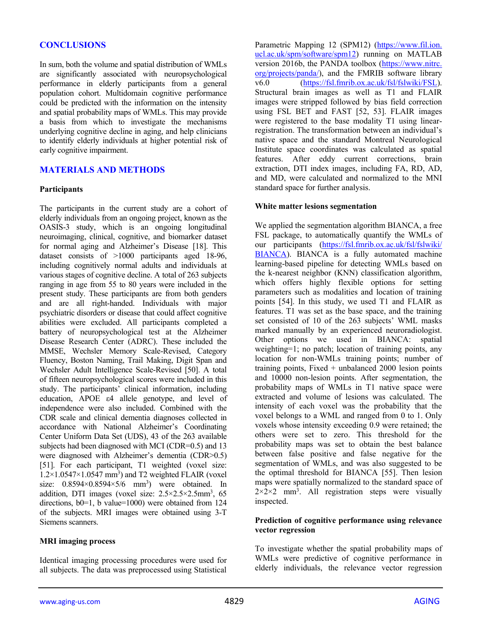# **CONCLUSIONS**

In sum, both the volume and spatial distribution of WMLs are significantly associated with neuropsychological performance in elderly participants from a general population cohort. Multidomain cognitive performance could be predicted with the information on the intensity and spatial probability maps of WMLs. This may provide a basis from which to investigate the mechanisms underlying cognitive decline in aging, and help clinicians to identify elderly individuals at higher potential risk of early cognitive impairment.

# **MATERIALS AND METHODS**

## **Participants**

The participants in the current study are a cohort of elderly individuals from an ongoing project, known as the OASIS-3 study, which is an ongoing longitudinal neuroimaging, clinical, cognitive, and biomarker dataset for normal aging and Alzheimer's Disease [18]. This dataset consists of >1000 participants aged 18-96, including cognitively normal adults and individuals at various stages of cognitive decline. A total of 263 subjects ranging in age from 55 to 80 years were included in the present study. These participants are from both genders and are all right-handed. Individuals with major psychiatric disorders or disease that could affect cognitive abilities were excluded. All participants completed a battery of neuropsychological test at the Alzheimer Disease Research Center (ADRC). These included the MMSE, Wechsler Memory Scale-Revised, Category Fluency, Boston Naming, Trail Making, Digit Span and Wechsler Adult Intelligence Scale-Revised [50]. A total of fifteen neuropsychological scores were included in this study. The participants' clinical information, including education, APOE ε4 allele genotype, and level of independence were also included. Combined with the CDR scale and clinical dementia diagnoses collected in accordance with National Alzheimer's Coordinating Center Uniform Data Set (UDS), 43 of the 263 available subjects had been diagnosed with MCI (CDR=0.5) and 13 were diagnosed with Alzheimer's dementia (CDR>0.5) [51]. For each participant, T1 weighted (voxel size:  $1.2 \times 1.0547 \times 1.0547$  mm<sup>3</sup>) and T2 weighted FLAIR (voxel size:  $0.8594 \times 0.8594 \times 5/6$  mm<sup>3</sup>) were obtained. In addition, DTI images (voxel size: 2.5×2.5×2.5mm<sup>3</sup>, 65 directions,  $b0=1$ , b value=1000) were obtained from 124 of the subjects. MRI images were obtained using 3-T Siemens scanners.

#### **MRI imaging process**

Identical imaging processing procedures were used for all subjects. The data was preprocessed using Statistical Parametric Mapping 12 (SPM12) [\(https://www.fil.ion.](https://www.fil.ion.ucl.ac.uk/spm/software/spm12) [ucl.ac.uk/spm/software/spm12\)](https://www.fil.ion.ucl.ac.uk/spm/software/spm12) running on MATLAB version 2016b, the PANDA toolbox [\(https://www.nitrc.](https://www.nitrc.org/projects/panda/) [org/projects/panda/\)](https://www.nitrc.org/projects/panda/), and the FMRIB software library v6.0 [\(https://fsl.fmrib.ox.ac.uk/fsl/fslwiki/FSL\)](https://fsl.fmrib.ox.ac.uk/fsl/fslwiki/FSL). Structural brain images as well as T1 and FLAIR images were stripped followed by bias field correction using FSL BET and FAST [52, 53]. FLAIR images were registered to the base modality T1 using linearregistration. The transformation between an individual's native space and the standard Montreal Neurological Institute space coordinates was calculated as spatial features. After eddy current corrections, brain extraction, DTI index images, including FA, RD, AD, and MD, were calculated and normalized to the MNI standard space for further analysis.

#### **White matter lesions segmentation**

We applied the segmentation algorithm BIANCA, a free FSL package, to automatically quantify the WMLs of our participants [\(https://fsl.fmrib.ox.ac.uk/fsl/fslwiki/](https://fsl.fmrib.ox.ac.uk/fsl/fslwiki/BIANCA) [BIANCA\)](https://fsl.fmrib.ox.ac.uk/fsl/fslwiki/BIANCA). BIANCA is a fully automated machine learning-based pipeline for detecting WMLs based on the k-nearest neighbor (KNN) classification algorithm, which offers highly flexible options for setting parameters such as modalities and location of training points [54]. In this study, we used T1 and FLAIR as features. T1 was set as the base space, and the training set consisted of 10 of the 263 subjects' WML masks marked manually by an experienced neuroradiologist. Other options we used in BIANCA: spatial weighting=1; no patch; location of training points, any location for non-WMLs training points; number of training points, Fixed  $+$  unbalanced 2000 lesion points and 10000 non-lesion points. After segmentation, the probability maps of WMLs in T1 native space were extracted and volume of lesions was calculated. The intensity of each voxel was the probability that the voxel belongs to a WML and ranged from 0 to 1. Only voxels whose intensity exceeding 0.9 were retained; the others were set to zero. This threshold for the probability maps was set to obtain the best balance between false positive and false negative for the segmentation of WMLs, and was also suggested to be the optimal threshold for BIANCA [55]. Then lesion maps were spatially normalized to the standard space of  $2 \times 2 \times 2$  mm<sup>3</sup>. All registration steps were visually inspected.

#### **Prediction of cognitive performance using relevance vector regression**

To investigate whether the spatial probability maps of WMLs were predictive of cognitive performance in elderly individuals, the relevance vector regression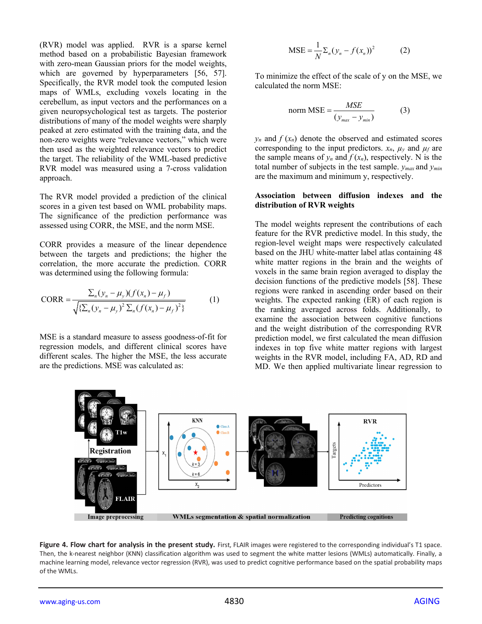(RVR) model was applied. RVR is a sparse kernel method based on a probabilistic Bayesian framework with zero-mean Gaussian priors for the model weights, which are governed by hyperparameters [56, 57]. Specifically, the RVR model took the computed lesion maps of WMLs, excluding voxels locating in the cerebellum, as input vectors and the performances on a given neuropsychological test as targets. The posterior distributions of many of the model weights were sharply peaked at zero estimated with the training data, and the non-zero weights were "relevance vectors," which were then used as the weighted relevance vectors to predict the target. The reliability of the WML-based predictive RVR model was measured using a 7-cross validation approach.

The RVR model provided a prediction of the clinical scores in a given test based on WML probability maps. The significance of the prediction performance was assessed using CORR, the MSE, and the norm MSE.

CORR provides a measure of the linear dependence between the targets and predictions; the higher the correlation, the more accurate the prediction. CORR was determined using the following formula:

CORR = 
$$
\frac{\sum_{n}(y_{n} - \mu_{y})(f(x_{n}) - \mu_{f})}{\sqrt{\sum_{n}(y_{n} - \mu_{y})^{2}\sum_{n}(f(x_{n}) - \mu_{f})^{2}}}
$$
(1)

MSE is a standard measure to assess goodness-of-fit for regression models, and different clinical scores have different scales. The higher the MSE, the less accurate are the predictions. MSE was calculated as:

$$
MSE = \frac{1}{N} \Sigma_n (y_n - f(x_n))^2
$$
 (2)

To minimize the effect of the scale of y on the MSE, we calculated the norm MSE:

norm MSE = 
$$
\frac{MSE}{(y_{max} - y_{min})}
$$
 (3)

 $y_n$  and  $f(x_n)$  denote the observed and estimated scores corresponding to the input predictors.  $x_n$ ,  $\mu_y$  and  $\mu_f$  are the sample means of  $y_n$  and  $f(x_n)$ , respectively. N is the total number of subjects in the test sample. *ymax* and *ymin*  are the maximum and minimum y, respectively.

#### **Association between diffusion indexes and the distribution of RVR weights**

The model weights represent the contributions of each feature for the RVR predictive model. In this study, the region-level weight maps were respectively calculated based on the JHU white-matter label atlas containing 48 white matter regions in the brain and the weights of voxels in the same brain region averaged to display the decision functions of the predictive models [58]. These regions were ranked in ascending order based on their weights. The expected ranking (ER) of each region is the ranking averaged across folds. Additionally, to examine the association between cognitive functions and the weight distribution of the corresponding RVR prediction model, we first calculated the mean diffusion indexes in top five white matter regions with largest weights in the RVR model, including FA, AD, RD and MD. We then applied multivariate linear regression to



**Figure 4. Flow chart for analysis in the present study.** First, FLAIR images were registered to the corresponding individual's T1 space. Then, the k-nearest neighbor (KNN) classification algorithm was used to segment the white matter lesions (WMLs) automatically. Finally, a machine learning model, relevance vector regression (RVR), was used to predict cognitive performance based on the spatial probability maps of the WMLs.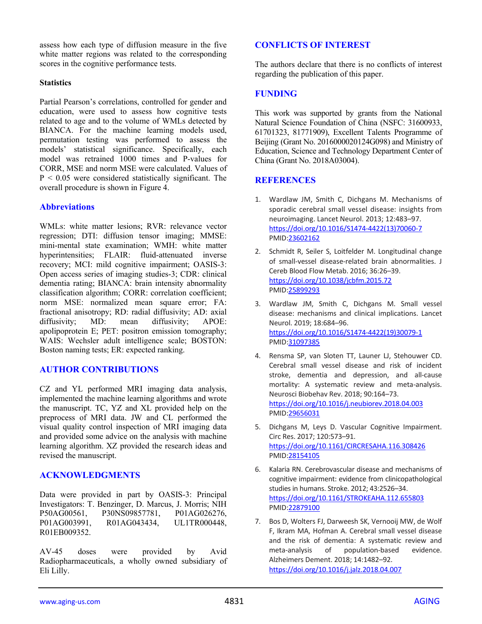assess how each type of diffusion measure in the five white matter regions was related to the corresponding scores in the cognitive performance tests.

## **Statistics**

Partial Pearson's correlations, controlled for gender and education, were used to assess how cognitive tests related to age and to the volume of WMLs detected by BIANCA. For the machine learning models used, permutation testing was performed to assess the models' statistical significance. Specifically, each model was retrained 1000 times and P-values for CORR, MSE and norm MSE were calculated. Values of  $P < 0.05$  were considered statistically significant. The overall procedure is shown in Figure 4.

# **Abbreviations**

WMLs: white matter lesions; RVR: relevance vector regression; DTI: diffusion tensor imaging; MMSE: mini-mental state examination; WMH: white matter hyperintensities; FLAIR: fluid-attenuated inverse recovery; MCI: mild cognitive impairment; OASIS-3: Open access series of imaging studies-3; CDR: clinical dementia rating; BIANCA: brain intensity abnormality classification algorithm; CORR: correlation coefficient; norm MSE: normalized mean square error; FA: fractional anisotropy; RD: radial diffusivity; AD: axial diffusivity; MD: mean diffusivity; APOE: apolipoprotein E; PET: positron emission tomography; WAIS: Wechsler adult intelligence scale; BOSTON: Boston naming tests; ER: expected ranking.

# **AUTHOR CONTRIBUTIONS**

CZ and YL performed MRI imaging data analysis, implemented the machine learning algorithms and wrote the manuscript. TC, YZ and XL provided help on the preprocess of MRI data. JW and CL performed the visual quality control inspection of MRI imaging data and provided some advice on the analysis with machine learning algorithm. XZ provided the research ideas and revised the manuscript.

# **ACKNOWLEDGMENTS**

Data were provided in part by OASIS-3: Principal Investigators: T. Benzinger, D. Marcus, J. Morris; NIH P50AG00561, P30NS09857781, P01AG026276, P01AG003991, R01AG043434, UL1TR000448, R01EB009352.

AV-45 doses were provided by Avid Radiopharmaceuticals, a wholly owned subsidiary of Eli Lilly.

## **CONFLICTS OF INTEREST**

The authors declare that there is no conflicts of interest regarding the publication of this paper.

## **FUNDING**

This work was supported by grants from the National Natural Science Foundation of China (NSFC: 31600933, 61701323, 81771909), Excellent Talents Programme of Beijing (Grant No. 2016000020124G098) and Ministry of Education, Science and Technology Department Center of China (Grant No. 2018A03004).

# **REFERENCES**

- 1. Wardlaw JM, Smith C, Dichgans M. Mechanisms of sporadic cerebral small vessel disease: insights from neuroimaging. Lancet Neurol. 2013; 12:483–97. [https://doi.org/10.1016/S1474-4422\(13\)70060-7](https://doi.org/10.1016/S1474-4422%2813%2970060-7) PMID[:23602162](https://www.ncbi.nlm.nih.gov/pubmed/23602162)
- 2. Schmidt R, Seiler S, Loitfelder M. Longitudinal change of small-vessel disease-related brain abnormalities. J Cereb Blood Flow Metab. 2016; 36:26–39. <https://doi.org/10.1038/jcbfm.2015.72> PMID[:25899293](https://www.ncbi.nlm.nih.gov/pubmed/25899293)
- 3. Wardlaw JM, Smith C, Dichgans M. Small vessel disease: mechanisms and clinical implications. Lancet Neurol. 2019; 18:684–96. [https://doi.org/10.1016/S1474-4422\(19\)30079-1](https://doi.org/10.1016/S1474-4422%2819%2930079-1) PMID[:31097385](https://www.ncbi.nlm.nih.gov/pubmed/31097385)
- 4. Rensma SP, van Sloten TT, Launer LJ, Stehouwer CD. Cerebral small vessel disease and risk of incident stroke, dementia and depression, and all-cause mortality: A systematic review and meta-analysis. Neurosci Biobehav Rev. 2018; 90:164–73. <https://doi.org/10.1016/j.neubiorev.2018.04.003> PMID[:29656031](https://www.ncbi.nlm.nih.gov/pubmed/29656031)
- 5. Dichgans M, Leys D. Vascular Cognitive Impairment. Circ Res. 2017; 120:573–91. <https://doi.org/10.1161/CIRCRESAHA.116.308426> PMID[:28154105](https://www.ncbi.nlm.nih.gov/pubmed/28154105)
- 6. Kalaria RN. Cerebrovascular disease and mechanisms of cognitive impairment: evidence from clinicopathological studies in humans. Stroke. 2012; 43:2526–34. <https://doi.org/10.1161/STROKEAHA.112.655803> PMID[:22879100](https://www.ncbi.nlm.nih.gov/pubmed/22879100)
- 7. Bos D, Wolters FJ, Darweesh SK, Vernooij MW, de Wolf F, Ikram MA, Hofman A. Cerebral small vessel disease and the risk of dementia: A systematic review and meta-analysis of population-based evidence. Alzheimers Dement. 2018; 14:1482–92. <https://doi.org/10.1016/j.jalz.2018.04.007>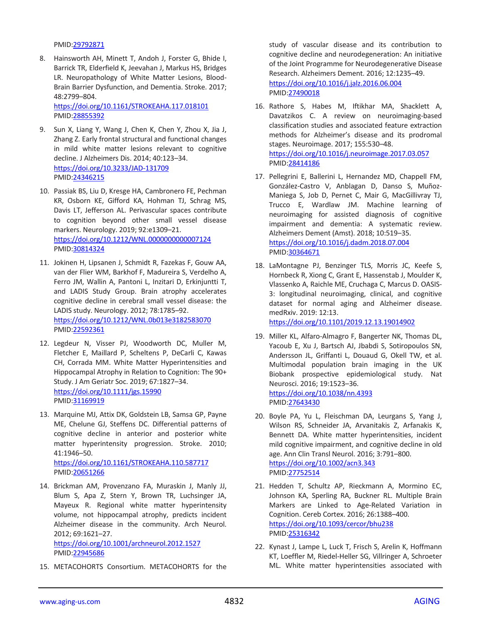PMID[:29792871](https://www.ncbi.nlm.nih.gov/pubmed/29792871)

8. Hainsworth AH, Minett T, Andoh J, Forster G, Bhide I, Barrick TR, Elderfield K, Jeevahan J, Markus HS, Bridges LR. Neuropathology of White Matter Lesions, Blood-Brain Barrier Dysfunction, and Dementia. Stroke. 2017; 48:2799–804.

<https://doi.org/10.1161/STROKEAHA.117.018101> PMID[:28855392](https://www.ncbi.nlm.nih.gov/pubmed/28855392)

- 9. Sun X, Liang Y, Wang J, Chen K, Chen Y, Zhou X, Jia J, Zhang Z. Early frontal structural and functional changes in mild white matter lesions relevant to cognitive decline. J Alzheimers Dis. 2014; 40:123–34. <https://doi.org/10.3233/JAD-131709> PMID[:24346215](https://www.ncbi.nlm.nih.gov/pubmed/24346215)
- 10. Passiak BS, Liu D, Kresge HA, Cambronero FE, Pechman KR, Osborn KE, Gifford KA, Hohman TJ, Schrag MS, Davis LT, Jefferson AL. Perivascular spaces contribute to cognition beyond other small vessel disease markers. Neurology. 2019; 92:e1309–21. <https://doi.org/10.1212/WNL.0000000000007124> PMID[:30814324](https://www.ncbi.nlm.nih.gov/pubmed/30814324)
- 11. Jokinen H, Lipsanen J, Schmidt R, Fazekas F, Gouw AA, van der Flier WM, Barkhof F, Madureira S, Verdelho A, Ferro JM, Wallin A, Pantoni L, Inzitari D, Erkinjuntti T, and LADIS Study Group. Brain atrophy accelerates cognitive decline in cerebral small vessel disease: the LADIS study. Neurology. 2012; 78:1785–92. <https://doi.org/10.1212/WNL.0b013e3182583070> PMID[:22592361](https://www.ncbi.nlm.nih.gov/pubmed/22592361)
- 12. Legdeur N, Visser PJ, Woodworth DC, Muller M, Fletcher E, Maillard P, Scheltens P, DeCarli C, Kawas CH, Corrada MM. White Matter Hyperintensities and Hippocampal Atrophy in Relation to Cognition: The 90+ Study. J Am Geriatr Soc. 2019; 67:1827–34. <https://doi.org/10.1111/jgs.15990> PMID[:31169919](https://www.ncbi.nlm.nih.gov/pubmed/31169919)
- 13. Marquine MJ, Attix DK, Goldstein LB, Samsa GP, Payne ME, Chelune GJ, Steffens DC. Differential patterns of cognitive decline in anterior and posterior white matter hyperintensity progression. Stroke. 2010; 41:1946–50. <https://doi.org/10.1161/STROKEAHA.110.587717> PMID[:20651266](https://www.ncbi.nlm.nih.gov/pubmed/20651266)
- 14. Brickman AM, Provenzano FA, Muraskin J, Manly JJ, Blum S, Apa Z, Stern Y, Brown TR, Luchsinger JA, Mayeux R. Regional white matter hyperintensity volume, not hippocampal atrophy, predicts incident Alzheimer disease in the community. Arch Neurol. 2012; 69:1621–27. <https://doi.org/10.1001/archneurol.2012.1527>

PMID[:22945686](https://www.ncbi.nlm.nih.gov/pubmed/22945686)

15. METACOHORTS Consortium. METACOHORTS for the

study of vascular disease and its contribution to cognitive decline and neurodegeneration: An initiative of the Joint Programme for Neurodegenerative Disease Research. Alzheimers Dement. 2016; 12:1235–49. <https://doi.org/10.1016/j.jalz.2016.06.004> PMID[:27490018](https://www.ncbi.nlm.nih.gov/pubmed/27490018)

- 16. Rathore S, Habes M, Iftikhar MA, Shacklett A, Davatzikos C. A review on neuroimaging-based classification studies and associated feature extraction methods for Alzheimer's disease and its prodromal stages. Neuroimage. 2017; 155:530–48. <https://doi.org/10.1016/j.neuroimage.2017.03.057> PMID[:28414186](https://www.ncbi.nlm.nih.gov/pubmed/28414186)
- 17. Pellegrini E, Ballerini L, Hernandez MD, Chappell FM, González-Castro V, Anblagan D, Danso S, Muñoz-Maniega S, Job D, Pernet C, Mair G, MacGillivray TJ, Trucco E, Wardlaw JM. Machine learning of neuroimaging for assisted diagnosis of cognitive impairment and dementia: A systematic review. Alzheimers Dement (Amst). 2018; 10:519–35. <https://doi.org/10.1016/j.dadm.2018.07.004> PMID[:30364671](https://www.ncbi.nlm.nih.gov/pubmed/30364671)
- 18. LaMontagne PJ, Benzinger TLS, Morris JC, Keefe S, Hornbeck R, Xiong C, Grant E, Hassenstab J, Moulder K, Vlassenko A, Raichle ME, Cruchaga C, Marcus D. OASIS-3: longitudinal neuroimaging, clinical, and cognitive dataset for normal aging and Alzheimer disease. medRxiv. 2019: 12:13. <https://doi.org/10.1101/2019.12.13.19014902>
- 19. Miller KL, Alfaro-Almagro F, Bangerter NK, Thomas DL, Yacoub E, Xu J, Bartsch AJ, Jbabdi S, Sotiropoulos SN, Andersson JL, Griffanti L, Douaud G, Okell TW, et al. Multimodal population brain imaging in the UK Biobank prospective epidemiological study. Nat Neurosci. 2016; 19:1523–36. <https://doi.org/10.1038/nn.4393> PMID[:27643430](https://www.ncbi.nlm.nih.gov/pubmed/27643430)
- 20. Boyle PA, Yu L, Fleischman DA, Leurgans S, Yang J, Wilson RS, Schneider JA, Arvanitakis Z, Arfanakis K, Bennett DA. White matter hyperintensities, incident mild cognitive impairment, and cognitive decline in old age. Ann Clin Transl Neurol. 2016; 3:791–800. <https://doi.org/10.1002/acn3.343> PMID[:27752514](https://www.ncbi.nlm.nih.gov/pubmed/27752514)
- 21. Hedden T, Schultz AP, Rieckmann A, Mormino EC, Johnson KA, Sperling RA, Buckner RL. Multiple Brain Markers are Linked to Age-Related Variation in Cognition. Cereb Cortex. 2016; 26:1388–400. <https://doi.org/10.1093/cercor/bhu238> PMID[:25316342](https://www.ncbi.nlm.nih.gov/pubmed/25316342)
- 22. Kynast J, Lampe L, Luck T, Frisch S, Arelin K, Hoffmann KT, Loeffler M, Riedel-Heller SG, Villringer A, Schroeter ML. White matter hyperintensities associated with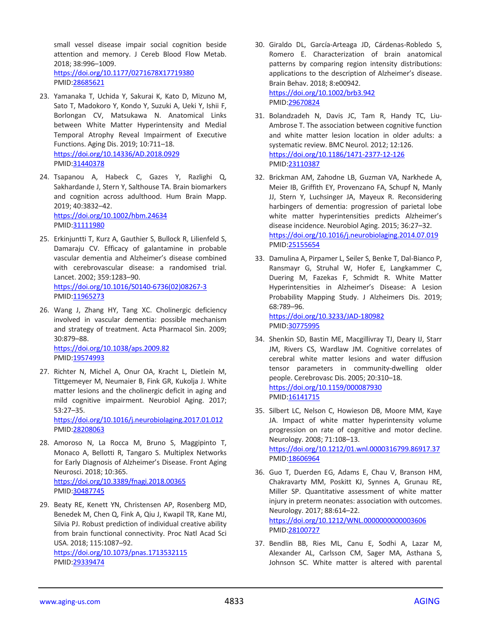small vessel disease impair social cognition beside attention and memory. J Cereb Blood Flow Metab. 2018; 38:996–1009. <https://doi.org/10.1177/0271678X17719380> PMID[:28685621](https://www.ncbi.nlm.nih.gov/pubmed/28685621)

- 23. Yamanaka T, Uchida Y, Sakurai K, Kato D, Mizuno M, Sato T, Madokoro Y, Kondo Y, Suzuki A, Ueki Y, Ishii F, Borlongan CV, Matsukawa N. Anatomical Links between White Matter Hyperintensity and Medial Temporal Atrophy Reveal Impairment of Executive Functions. Aging Dis. 2019; 10:711–18. <https://doi.org/10.14336/AD.2018.0929> PMID[:31440378](https://www.ncbi.nlm.nih.gov/pubmed/31440378)
- 24. Tsapanou A, Habeck C, Gazes Y, Razlighi Q, Sakhardande J, Stern Y, Salthouse TA. Brain biomarkers and cognition across adulthood. Hum Brain Mapp. 2019; 40:3832–42. <https://doi.org/10.1002/hbm.24634> PMID[:31111980](https://www.ncbi.nlm.nih.gov/pubmed/31111980)
- 25. Erkinjuntti T, Kurz A, Gauthier S, Bullock R, Lilienfeld S, Damaraju CV. Efficacy of galantamine in probable vascular dementia and Alzheimer's disease combined with cerebrovascular disease: a randomised trial. Lancet. 2002; 359:1283–90. [https://doi.org/10.1016/S0140-6736\(02\)08267-3](https://doi.org/10.1016/S0140-6736%2802%2908267-3) PMID[:11965273](https://www.ncbi.nlm.nih.gov/pubmed/11965273)
- 26. Wang J, Zhang HY, Tang XC. Cholinergic deficiency involved in vascular dementia: possible mechanism and strategy of treatment. Acta Pharmacol Sin. 2009; 30:879–88. <https://doi.org/10.1038/aps.2009.82> PMID[:19574993](https://www.ncbi.nlm.nih.gov/pubmed/19574993)
- 27. Richter N, Michel A, Onur OA, Kracht L, Dietlein M, Tittgemeyer M, Neumaier B, Fink GR, Kukolja J. White matter lesions and the cholinergic deficit in aging and mild cognitive impairment. Neurobiol Aging. 2017; 53:27–35.

<https://doi.org/10.1016/j.neurobiolaging.2017.01.012> PMID[:28208063](https://www.ncbi.nlm.nih.gov/pubmed/28208063)

- 28. Amoroso N, La Rocca M, Bruno S, Maggipinto T, Monaco A, Bellotti R, Tangaro S. Multiplex Networks for Early Diagnosis of Alzheimer's Disease. Front Aging Neurosci. 2018; 10:365. <https://doi.org/10.3389/fnagi.2018.00365> PMID[:30487745](https://www.ncbi.nlm.nih.gov/pubmed/30487745)
- 29. Beaty RE, Kenett YN, Christensen AP, Rosenberg MD, Benedek M, Chen Q, Fink A, Qiu J, Kwapil TR, Kane MJ, Silvia PJ. Robust prediction of individual creative ability from brain functional connectivity. Proc Natl Acad Sci USA. 2018; 115:1087–92.

<https://doi.org/10.1073/pnas.1713532115> PMID[:29339474](https://www.ncbi.nlm.nih.gov/pubmed/29339474)

- 30. Giraldo DL, García-Arteaga JD, Cárdenas-Robledo S, Romero E. Characterization of brain anatomical patterns by comparing region intensity distributions: applications to the description of Alzheimer's disease. Brain Behav. 2018; 8:e00942. <https://doi.org/10.1002/brb3.942> PMID[:29670824](https://www.ncbi.nlm.nih.gov/pubmed/29670824)
- 31. Bolandzadeh N, Davis JC, Tam R, Handy TC, Liu-Ambrose T. The association between cognitive function and white matter lesion location in older adults: a systematic review. BMC Neurol. 2012; 12:126. <https://doi.org/10.1186/1471-2377-12-126> PMID[:23110387](https://www.ncbi.nlm.nih.gov/pubmed/23110387)
- 32. Brickman AM, Zahodne LB, Guzman VA, Narkhede A, Meier IB, Griffith EY, Provenzano FA, Schupf N, Manly JJ, Stern Y, Luchsinger JA, Mayeux R. Reconsidering harbingers of dementia: progression of parietal lobe white matter hyperintensities predicts Alzheimer's disease incidence. Neurobiol Aging. 2015; 36:27–32. <https://doi.org/10.1016/j.neurobiolaging.2014.07.019> PMID[:25155654](https://www.ncbi.nlm.nih.gov/pubmed/25155654)
- 33. Damulina A, Pirpamer L, Seiler S, Benke T, Dal-Bianco P, Ransmayr G, Struhal W, Hofer E, Langkammer C, Duering M, Fazekas F, Schmidt R. White Matter Hyperintensities in Alzheimer's Disease: A Lesion Probability Mapping Study. J Alzheimers Dis. 2019; 68:789–96.

<https://doi.org/10.3233/JAD-180982> PMID[:30775995](https://www.ncbi.nlm.nih.gov/pubmed/30775995)

- 34. Shenkin SD, Bastin ME, Macgillivray TJ, Deary IJ, Starr JM, Rivers CS, Wardlaw JM. Cognitive correlates of cerebral white matter lesions and water diffusion tensor parameters in community-dwelling older people. Cerebrovasc Dis. 2005; 20:310–18. <https://doi.org/10.1159/000087930> PMID[:16141715](https://www.ncbi.nlm.nih.gov/pubmed/16141715)
- 35. Silbert LC, Nelson C, Howieson DB, Moore MM, Kaye JA. Impact of white matter hyperintensity volume progression on rate of cognitive and motor decline. Neurology. 2008; 71:108–13. <https://doi.org/10.1212/01.wnl.0000316799.86917.37> PMID[:18606964](https://www.ncbi.nlm.nih.gov/pubmed/18606964)
- 36. Guo T, Duerden EG, Adams E, Chau V, Branson HM, Chakravarty MM, Poskitt KJ, Synnes A, Grunau RE, Miller SP. Quantitative assessment of white matter injury in preterm neonates: association with outcomes. Neurology. 2017; 88:614–22. <https://doi.org/10.1212/WNL.0000000000003606> PMID[:28100727](https://www.ncbi.nlm.nih.gov/pubmed/28100727)
- 37. Bendlin BB, Ries ML, Canu E, Sodhi A, Lazar M, Alexander AL, Carlsson CM, Sager MA, Asthana S, Johnson SC. White matter is altered with parental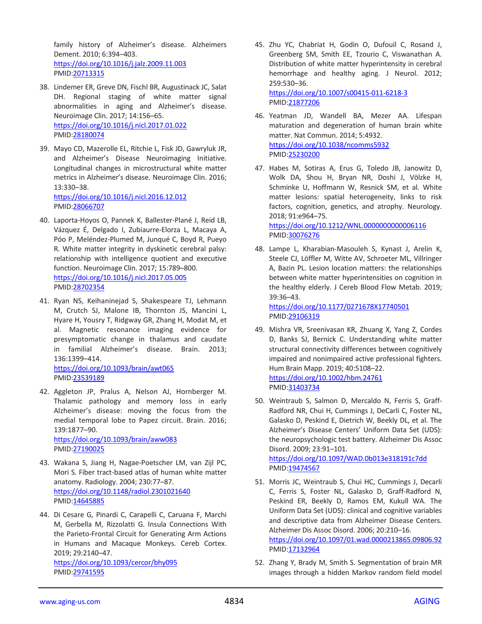family history of Alzheimer's disease. Alzheimers Dement. 2010; 6:394–403. <https://doi.org/10.1016/j.jalz.2009.11.003> PMID[:20713315](https://www.ncbi.nlm.nih.gov/pubmed/20713315)

- 38. Lindemer ER, Greve DN, Fischl BR, Augustinack JC, Salat DH. Regional staging of white matter signal abnormalities in aging and Alzheimer's disease. Neuroimage Clin. 2017; 14:156–65. <https://doi.org/10.1016/j.nicl.2017.01.022> PMID[:28180074](https://www.ncbi.nlm.nih.gov/pubmed/28180074)
- 39. Mayo CD, Mazerolle EL, Ritchie L, Fisk JD, Gawryluk JR, and Alzheimer's Disease Neuroimaging Initiative. Longitudinal changes in microstructural white matter metrics in Alzheimer's disease. Neuroimage Clin. 2016; 13:330–38. <https://doi.org/10.1016/j.nicl.2016.12.012>

PMID[:28066707](https://www.ncbi.nlm.nih.gov/pubmed/28066707)

- 40. Laporta-Hoyos O, Pannek K, Ballester-Plané J, Reid LB, Vázquez É, Delgado I, Zubiaurre-Elorza L, Macaya A, Póo P, Meléndez-Plumed M, Junqué C, Boyd R, Pueyo R. White matter integrity in dyskinetic cerebral palsy: relationship with intelligence quotient and executive function. Neuroimage Clin. 2017; 15:789–800. <https://doi.org/10.1016/j.nicl.2017.05.005> PMID[:28702354](https://www.ncbi.nlm.nih.gov/pubmed/28702354)
- 41. Ryan NS, Keihaninejad S, Shakespeare TJ, Lehmann M, Crutch SJ, Malone IB, Thornton JS, Mancini L, Hyare H, Yousry T, Ridgway GR, Zhang H, Modat M, et al. Magnetic resonance imaging evidence for presymptomatic change in thalamus and caudate in familial Alzheimer's disease. Brain. 2013; 136:1399–414. <https://doi.org/10.1093/brain/awt065>

PMID[:23539189](https://www.ncbi.nlm.nih.gov/pubmed/23539189)

42. Aggleton JP, Pralus A, Nelson AJ, Hornberger M. Thalamic pathology and memory loss in early Alzheimer's disease: moving the focus from the medial temporal lobe to Papez circuit. Brain. 2016; 139:1877–90. <https://doi.org/10.1093/brain/aww083>

PMID[:27190025](https://www.ncbi.nlm.nih.gov/pubmed/27190025)

- 43. Wakana S, Jiang H, Nagae-Poetscher LM, van Zijl PC, Mori S. Fiber tract-based atlas of human white matter anatomy. Radiology. 2004; 230:77–87. <https://doi.org/10.1148/radiol.2301021640> PMID[:14645885](https://www.ncbi.nlm.nih.gov/pubmed/14645885)
- 44. Di Cesare G, Pinardi C, Carapelli C, Caruana F, Marchi M, Gerbella M, Rizzolatti G. Insula Connections With the Parieto-Frontal Circuit for Generating Arm Actions in Humans and Macaque Monkeys. Cereb Cortex. 2019; 29:2140–47.

<https://doi.org/10.1093/cercor/bhy095> PMID[:29741595](https://www.ncbi.nlm.nih.gov/pubmed/29741595)

45. Zhu YC, Chabriat H, Godin O, Dufouil C, Rosand J, Greenberg SM, Smith EE, Tzourio C, Viswanathan A. Distribution of white matter hyperintensity in cerebral hemorrhage and healthy aging. J Neurol. 2012; 259:530–36. <https://doi.org/10.1007/s00415-011-6218-3>

PMID[:21877206](https://www.ncbi.nlm.nih.gov/pubmed/21877206)

- 46. Yeatman JD, Wandell BA, Mezer AA. Lifespan maturation and degeneration of human brain white matter. Nat Commun. 2014; 5:4932. <https://doi.org/10.1038/ncomms5932> PMID[:25230200](https://www.ncbi.nlm.nih.gov/pubmed/25230200)
- 47. Habes M, Sotiras A, Erus G, Toledo JB, Janowitz D, Wolk DA, Shou H, Bryan NR, Doshi J, Völzke H, Schminke U, Hoffmann W, Resnick SM, et al. White matter lesions: spatial heterogeneity, links to risk factors, cognition, genetics, and atrophy. Neurology. 2018; 91:e964–75.

<https://doi.org/10.1212/WNL.0000000000006116> PMID[:30076276](https://www.ncbi.nlm.nih.gov/pubmed/30076276)

48. Lampe L, Kharabian-Masouleh S, Kynast J, Arelin K, Steele CJ, Löffler M, Witte AV, Schroeter ML, Villringer A, Bazin PL. Lesion location matters: the relationships between white matter hyperintensities on cognition in the healthy elderly. J Cereb Blood Flow Metab. 2019; 39:36–43.

<https://doi.org/10.1177/0271678X17740501> PMID[:29106319](https://www.ncbi.nlm.nih.gov/pubmed/29106319)

- 49. Mishra VR, Sreenivasan KR, Zhuang X, Yang Z, Cordes D, Banks SJ, Bernick C. Understanding white matter structural connectivity differences between cognitively impaired and nonimpaired active professional fighters. Hum Brain Mapp. 2019; 40:5108–22. <https://doi.org/10.1002/hbm.24761> PMID[:31403734](https://www.ncbi.nlm.nih.gov/pubmed/31403734)
- 50. Weintraub S, Salmon D, Mercaldo N, Ferris S, Graff-Radford NR, Chui H, Cummings J, DeCarli C, Foster NL, Galasko D, Peskind E, Dietrich W, Beekly DL, et al. The Alzheimer's Disease Centers' Uniform Data Set (UDS): the neuropsychologic test battery. Alzheimer Dis Assoc Disord. 2009; 23:91–101.

<https://doi.org/10.1097/WAD.0b013e318191c7dd> PMID[:19474567](https://www.ncbi.nlm.nih.gov/pubmed/19474567)

- 51. Morris JC, Weintraub S, Chui HC, Cummings J, Decarli C, Ferris S, Foster NL, Galasko D, Graff-Radford N, Peskind ER, Beekly D, Ramos EM, Kukull WA. The Uniform Data Set (UDS): clinical and cognitive variables and descriptive data from Alzheimer Disease Centers. Alzheimer Dis Assoc Disord. 2006; 20:210–16. <https://doi.org/10.1097/01.wad.0000213865.09806.92> PMID[:17132964](https://www.ncbi.nlm.nih.gov/pubmed/17132964)
- 52. Zhang Y, Brady M, Smith S. Segmentation of brain MR images through a hidden Markov random field model